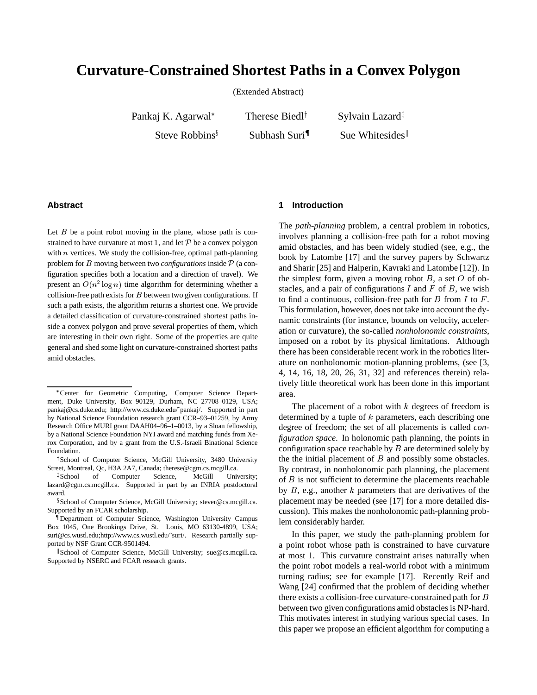# **Curvature-Constrained Shortest Paths in a Convex Polygon**

(Extended Abstract)

Pankaj K. Agarwal

Steve Robbins $\frac{1}{3}$ 

Therese Biedl<sup>†</sup> Subhash Suri<sup>1</sup> Sylvain Lazard<sup>‡</sup>

Sue Whitesides

#### **Abstract**

Let  $B$  be a point robot moving in the plane, whose path is constrained to have curvature at most 1, and let  $P$  be a convex polygon with  $n$  vertices. We study the collision-free, optimal path-planning problem for <sup>B</sup> moving between two *configurations* inside <sup>P</sup> (a configuration specifies both a location and a direction of travel). We present an  $O(n^2 \log n)$  time algorithm for determining whether a collision-free path exists for  $B$  between two given configurations. If such a path exists, the algorithm returns a shortest one. We provide a detailed classification of curvature-constrained shortest paths inside a convex polygon and prove several properties of them, which are interesting in their own right. Some of the properties are quite general and shed some light on curvature-constrained shortest paths amid obstacles.

# **1 Introduction**

The *path-planning* problem, a central problem in robotics, involves planning a collision-free path for a robot moving amid obstacles, and has been widely studied (see, e.g., the book by Latombe [17] and the survey papers by Schwartz and Sharir [25] and Halperin, Kavraki and Latombe [12]). In the simplest form, given a moving robot  $B$ , a set  $O$  of obstacles, and a pair of configurations  $I$  and  $F$  of  $B$ , we wish to find a continuous, collision-free path for  $B$  from  $I$  to  $F$ . This formulation, however, does not take into account the dynamic constraints (for instance, bounds on velocity, acceleration or curvature), the so-called *nonholonomic constraints*, imposed on a robot by its physical limitations. Although there has been considerable recent work in the robotics literature on nonholonomic motion-planning problems, (see [3, 4, 14, 16, 18, 20, 26, 31, 32] and references therein) relatively little theoretical work has been done in this important area.

The placement of a robot with  $k$  degrees of freedom is determined by a tuple of <sup>k</sup> parameters, each describing one degree of freedom; the set of all placements is called *configuration space*. In holonomic path planning, the points in configuration space reachable by  $B$  are determined solely by the the initial placement of  $B$  and possibly some obstacles. By contrast, in nonholonomic path planning, the placement of <sup>B</sup> is not sufficient to determine the placements reachable by  $B$ , e.g., another  $k$  parameters that are derivatives of the placement may be needed (see [17] for a more detailed discussion). This makes the nonholonomic path-planning problem considerably harder.

In this paper, we study the path-planning problem for a point robot whose path is constrained to have curvature at most <sup>1</sup>. This curvature constraint arises naturally when the point robot models a real-world robot with a minimum turning radius; see for example [17]. Recently Reif and Wang [24] confirmed that the problem of deciding whether there exists a collision-free curvature-constrained path for <sup>B</sup> between two given configurations amid obstacles is NP-hard. This motivates interest in studying various special cases. In this paper we propose an efficient algorithm for computing a

Center for Geometric Computing, Computer Science Department, Duke University, Box 90129, Durham, NC 27708–0129, USA; pankaj@cs.duke.edu; http://www.cs.duke.edu/˜pankaj/. Supported in part by National Science Foundation research grant CCR–93–01259, by Army Research Office MURI grant DAAH04–96–1–0013, by a Sloan fellowship, by a National Science Foundation NYI award and matching funds from Xerox Corporation, and by a grant from the U.S.-Israeli Binational Science Foundation.

<sup>&</sup>lt;sup>†</sup> School of Computer Science, McGill University, 3480 University Street, Montreal, Qc, H3A 2A7, Canada; therese@cgm.cs.mcgill.ca.

<sup>‡</sup>School of Computer Science, McGill University; lazard@cgm.cs.mcgill.ca. Supported in part by an INRIA postdoctoral award.

<sup>x</sup> School of Computer Science, McGill University; stever@cs.mcgill.ca. Supported by an FCAR scholarship.

<sup>{</sup>Department of Computer Science, Washington University Campus Box 1045, One Brookings Drive, St. Louis, MO 63130-4899, USA; suri@cs.wustl.edu;http://www.cs.wustl.edu/~suri/. Research partially supported by NSF Grant CCR-9501494.

<sup>k</sup> School of Computer Science, McGill University; sue@cs.mcgill.ca. Supported by NSERC and FCAR research grants.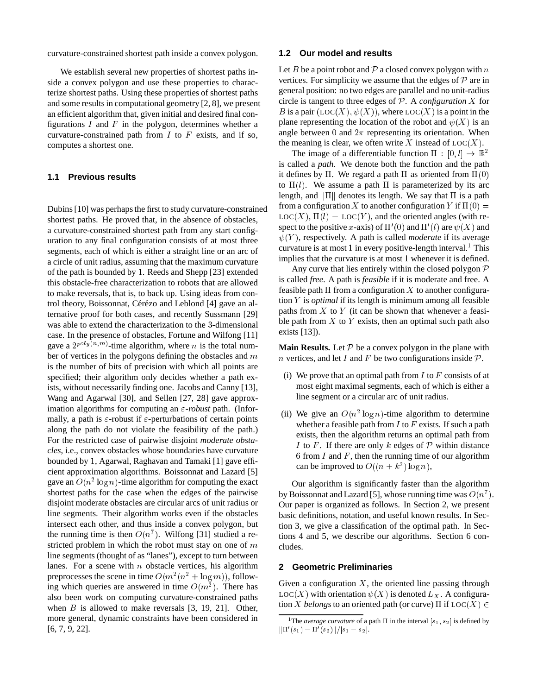curvature-constrained shortest path inside a convex polygon.

We establish several new properties of shortest paths inside a convex polygon and use these properties to characterize shortest paths. Using these properties of shortest paths and some results in computational geometry [2, 8], we present an efficient algorithm that, given initial and desired final configurations  $I$  and  $F$  in the polygon, determines whether a curvature-constrained path from  $I$  to  $F$  exists, and if so, computes a shortest one.

#### **1.1 Previous results**

Dubins [10] was perhaps the first to study curvature-constrained shortest paths. He proved that, in the absence of obstacles, a curvature-constrained shortest path from any start configuration to any final configuration consists of at most three segments, each of which is either a straight line or an arc of a circle of unit radius, assuming that the maximum curvature of the path is bounded by <sup>1</sup>. Reeds and Shepp [23] extended this obstacle-free characterization to robots that are allowed to make reversals, that is, to back up. Using ideas from control theory, Boissonnat, Cérézo and Leblond [4] gave an alternative proof for both cases, and recently Sussmann [29] was able to extend the characterization to the <sup>3</sup>-dimensional case. In the presence of obstacles, Fortune and Wilfong [11] gave a  $2^{poly(n,m)}$ -time algorithm, where *n* is the total number of vertices in the polygons defining the obstacles and  $m$ is the number of bits of precision with which all points are specified; their algorithm only decides whether a path exists, without necessarily finding one. Jacobs and Canny [13], Wang and Agarwal [30], and Sellen [27, 28] gave approximation algorithms for computing an  $\varepsilon$ -robust path. (Informally, a path is  $\varepsilon$ -robust if  $\varepsilon$ -perturbations of certain points along the path do not violate the feasibility of the path.) For the restricted case of pairwise disjoint *moderate obstacles*, i.e., convex obstacles whose boundaries have curvature bounded by <sup>1</sup>, Agarwal, Raghavan and Tamaki [1] gave efficient approximation algorithms. Boissonnat and Lazard [5] gave an  $O(n^2 \log n)$ -time algorithm for computing the exact shortest paths for the case when the edges of the pairwise disjoint moderate obstacles are circular arcs of unit radius or line segments. Their algorithm works even if the obstacles intersect each other, and thus inside a convex polygon, but the running time is then  $O(n^7)$ . Wilfong [31] studied a restricted problem in which the robot must stay on one of <sup>m</sup> line segments (thought of as "lanes"), except to turn between lanes. For a scene with  $n$  obstacle vertices, his algorithm preprocesses the scene in time  $O(m^2(n^2 + \log m))$ , following which queries are answered in time  $O(m^2)$ . There has also been work on computing curvature-constrained paths when  $B$  is allowed to make reversals  $[3, 19, 21]$ . Other, more general, dynamic constraints have been considered in [6, 7, 9, 22].

## **1.2 Our model and results**

Let  $B$  be a point robot and  $P$  a closed convex polygon with  $n$ vertices. For simplicity we assume that the edges of  $P$  are in general position: no two edges are parallel and no unit-radius circle is tangent to three edges of <sup>P</sup>. A *configuration* <sup>X</sup> for B is a pair  $(LOC(X), \psi(X))$ , where  $LOC(X)$  is a point in the plane representing the location of the robot and  $\psi(X)$  is an angle between 0 and  $2\pi$  representing its orientation. When the meaning is clear, we often write X instead of  $LOC(X)$ .

The image of a differentiable function  $\Pi : [0, l] \rightarrow \mathbb{R}^2$ is called a *path*. We denote both the function and the path it defines by  $\Pi$ . We regard a path  $\Pi$  as oriented from  $\Pi(0)$ to  $\Pi(l)$ . We assume a path  $\Pi$  is parameterized by its arc length, and  $\|\Pi\|$  denotes its length. We say that  $\Pi$  is a path from a configuration X to another configuration Y if  $\Pi(0)$  =  $LOC(X)$ ,  $\Pi(l) = LOC(Y)$ , and the oriented angles (with respect to the positive x-axis) of  $\Pi'(0)$  and  $\Pi'(l)$  are  $\psi(X)$  and  $\psi(Y)$ , respectively. A path is called *moderate* if its average curvature is at most 1 in every positive-length interval.<sup>1</sup> This implies that the curvature is at most <sup>1</sup> whenever it is defined.

Any curve that lies entirely within the closed polygon  $P$ is called *free*. A path is *feasible* if it is moderate and free. A feasible path  $\Pi$  from a configuration X to another configuration <sup>Y</sup> is *optimal* if its length is minimum among all feasible paths from  $X$  to  $Y$  (it can be shown that whenever a feasible path from  $X$  to  $Y$  exists, then an optimal such path also exists [13]).

**Main Results.** Let  $P$  be a convex polygon in the plane with *n* vertices, and let I and F be two configurations inside  $P$ .

- (i) We prove that an optimal path from  $I$  to  $F$  consists of at most eight maximal segments, each of which is either a line segment or a circular arc of unit radius.
- (ii) We give an  $O(n^2 \log n)$ -time algorithm to determine whether a feasible path from  $I$  to  $F$  exists. If such a path exists, then the algorithm returns an optimal path from I to F. If there are only k edges of  $P$  within distance 6 from  $I$  and  $F$ , then the running time of our algorithm can be improved to  $O((n + k^2) \log n)$ ,

Our algorithm is significantly faster than the algorithm by Boissonnat and Lazard [5], whose running time was  $O(n^7)$ . Our paper is organized as follows. In Section 2, we present basic definitions, notation, and useful known results. In Section 3, we give a classification of the optimal path. In Sections 4 and 5, we describe our algorithms. Section 6 concludes.

## **2 Geometric Preliminaries**

Given a configuration  $X$ , the oriented line passing through  $LOC(X)$  with orientation  $\psi(X)$  is denoted  $L_X$ . A configuration X *belongs* to an oriented path (or curve)  $\Pi$  if  $LOC(X) \in$ 

<sup>&</sup>lt;sup>1</sup>The *average curvature* of a path  $\Pi$  in the interval  $[s_1, s_2]$  is defined by  $\|\Pi'(s_1) - \Pi'(s_2)\|/|s_1 - s_2|.$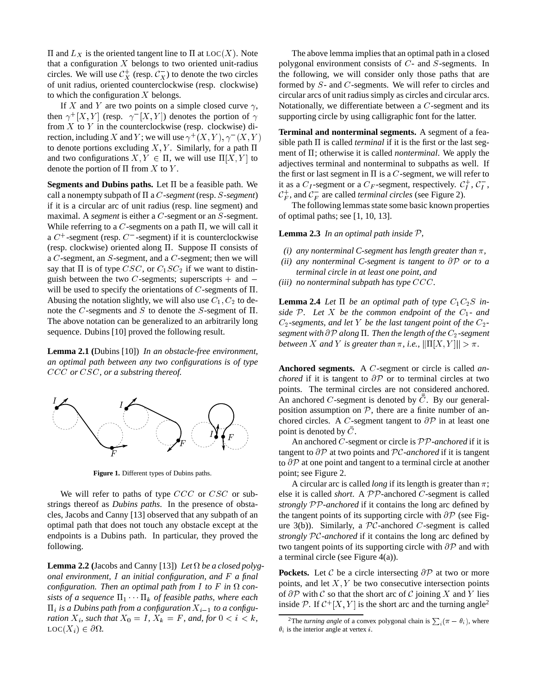$\Pi$  and  $L_X$  is the oriented tangent line to  $\Pi$  at LOC(X). Note that a configuration  $X$  belongs to two oriented unit-radius circles. We will use  $\mathcal{C}_X^+$  (resp.  $\mathcal{C}_X^-$ ) to denote the two circles of unit radius, oriented counterclockwise (resp. clockwise) to which the configuration  $X$  belongs.

If X and Y are two points on a simple closed curve  $\gamma$ , then  $\gamma^+[X,Y]$  (resp.  $\gamma^-[X,Y]$ ) denotes the portion of  $\gamma$ from  $X$  to  $Y$  in the counterclockwise (resp. clockwise) direction, including X and Y; we will use  $\gamma^+(X, Y), \gamma^-(X, Y)$ to denote portions excluding X, Y. Similarly, for a path  $\Pi$ and two configurations  $X, Y \in \Pi$ , we will use  $\Pi[X, Y]$  to denote the portion of  $\Pi$  from  $X$  to  $Y$ .

**Segments and Dubins paths.** Let  $\Pi$  be a feasible path. We call a nonempty subpath of  $\Pi$  a *C*-segment (resp. *S*-segment) if it is a circular arc of unit radius (resp. line segment) and maximal. A *segment* is either a *C*-segment or an *S*-segment. While referring to a  $C$ -segments on a path  $\Pi$ , we will call it a  $C^+$ -segment (resp.  $C^-$ -segment) if it is counterclockwise (resp. clockwise) oriented along  $\Pi$ . Suppose  $\Pi$  consists of a <sup>C</sup>-segment, an <sup>S</sup>-segment, and a <sup>C</sup>-segment; then we will say that  $\Pi$  is of type CSC, or  $C_1SC_2$  if we want to distinguish between the two  $C$ -segments; superscripts  $+$  and  $$ will be used to specify the orientations of  $C$ -segments of  $\Pi$ . Abusing the notation slightly, we will also use  $C_1$ ,  $C_2$  to denote the C-segments and S to denote the S-segment of  $\Pi$ . The above notation can be generalized to an arbitrarily long sequence. Dubins [10] proved the following result.

**Lemma 2.1 (**Dubins [10]) *In an obstacle-free environment, an optimal path between any two configurations is of type* CCC *or* CSC*, or a substring thereof.*



**Figure 1.** Different types of Dubins paths.

We will refer to paths of type  $CCC$  or  $CSC$  or substrings thereof as *Dubins paths*. In the presence of obstacles, Jacobs and Canny [13] observed that any subpath of an optimal path that does not touch any obstacle except at the endpoints is a Dubins path. In particular, they proved the following.

**Lemma 2.2** (Jacobs and Canny [13]) Let  $\Omega$  be a closed polyg*onal environment,* <sup>I</sup> *an initial configuration, and* <sup>F</sup> *a final configuration. Then an optimal path from*  $I$  *to*  $F$  *in*  $\Omega$  *consists of a sequence*  $\Pi_1 \cdots \Pi_k$  *of feasible paths, where each*  $\Pi_i$  *is a Dubins path from a configuration*  $X_{i-1}$  *to a configuration*  $X_i$ *, such that*  $X_0 = I$ *,*  $X_k = F$ *, and, for*  $0 < i < k$ *,*  $\text{Loc}(X_i) \in \partial \Omega$ .

The above lemma implies that an optimal path in a closed polygonal environment consists of <sup>C</sup>- and <sup>S</sup>-segments. In the following, we will consider only those paths that are formed by <sup>S</sup>- and <sup>C</sup>-segments. We will refer to circles and circular arcs of unit radius simply as circles and circular arcs. Notationally, we differentiate between a <sup>C</sup>-segment and its supporting circle by using calligraphic font for the latter.

**Terminal and nonterminal segments.** A segment of a feasible path  $\Pi$  is called *terminal* if it is the first or the last segment of  $\Pi$ ; otherwise it is called *nonterminal*. We apply the adjectives terminal and nonterminal to subpaths as well. If the first or last segment in  $\Pi$  is a C-segment, we will refer to it as a  $C_I$ -segment or a  $C_F$ -segment, respectively.  $C_I^+$ ,  $C_I^-$ ,  $C_F^+$ , and  $C_F^-$  are called *terminal circles* (see Figure 2).

The following lemmas state some basic known properties of optimal paths; see [1, 10, 13].

**Lemma 2.3** *In an optimal path inside* <sup>P</sup>*,*

- *(i)* any nonterminal C-segment has length greater than  $\pi$ ,
- *(ii) any nonterminal C-segment is tangent to* @P *or to a terminal circle in at least one point, and*
- *(iii) no nonterminal subpath has type* CCC*.*

**Lemma 2.4** *Let*  $\Pi$  *be an optimal path of type*  $C_1C_2S$  *inside*  $P$ *. Let*  $X$  *be the common endpoint of the*  $C_1$ *- and*  $C_2$ -segments, and let Y be the last tangent point of the  $C_2$ *segment with*  $\partial P$  *along*  $\Pi$ *. Then the length of the*  $C_2$ *-segment between* X and Y *is greater than*  $\pi$ *, i.e.,*  $\|\Pi[X, Y]\| > \pi$ *.* 

**Anchored segments.** A <sup>C</sup>-segment or circle is called *anchored* if it is tangent to  $\partial P$  or to terminal circles at two points. The terminal circles are not considered anchored. An anchored C-segment is denoted by  $\overline{C}$ . By our generalposition assumption on  $P$ , there are a finite number of anchored circles. A C-segment tangent to  $\partial P$  in at least one point is denoted by C.

An anchored <sup>C</sup>-segment or circle is PP*-anchored* if it is tangent to  $\partial P$  at two points and PC-anchored if it is tangent to  $\partial P$  at one point and tangent to a terminal circle at another point; see Figure 2.

A circular arc is called *long* if its length is greater than  $\pi$ ; else it is called *short*. A PP-anchored <sup>C</sup>-segment is called *strongly* PP*-anchored* if it contains the long arc defined by the tangent points of its supporting circle with  $\partial P$  (see Figure 3(b)). Similarly, a  $\mathcal{PC}$ -anchored C-segment is called *strongly* PC*-anchored* if it contains the long arc defined by two tangent points of its supporting circle with  $\partial P$  and with a terminal circle (see Figure 4(a)).

**Pockets.** Let  $\mathcal C$  be a circle intersecting  $\partial \mathcal P$  at two or more points, and let  $X, Y$  be two consecutive intersection points of  $\partial P$  with  $C$  so that the short arc of  $C$  joining X and Y lies inside P. If  $C^+[X, Y]$  is the short arc and the turning angle<sup>2</sup>

<sup>&</sup>lt;sup>2</sup>The *turning angle* of a convex polygonal chain is  $\sum_i (\pi - \theta_i)$ , where  $\theta_i$  is the interior angle at vertex *i*.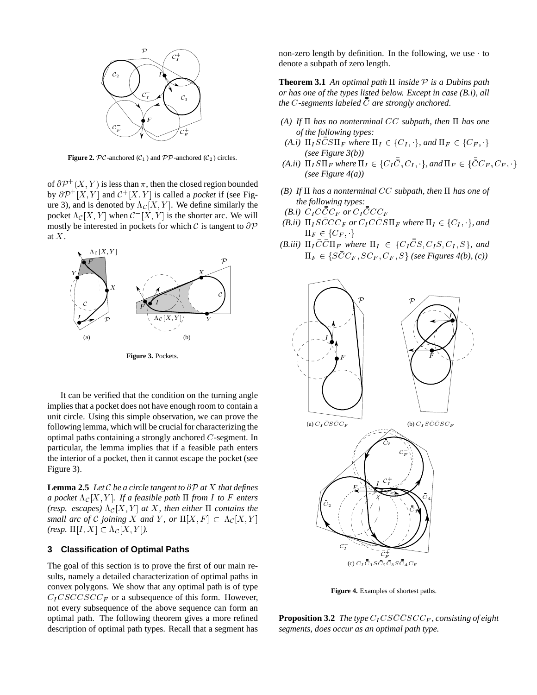

**Figure 2.**  $\mathcal{PC}$ -anchored ( $\mathcal{C}_1$ ) and  $\mathcal{PP}$ -anchored ( $\mathcal{C}_2$ ) circles.

of  $\partial \mathcal{P}^+(X,Y)$  is less than  $\pi$ , then the closed region bounded by  $\partial P^+[X,Y]$  and  $\mathcal{C}^+[X,Y]$  is called a *pocket* if (see Figure 3), and is denoted by  $\Lambda_{\mathcal{C}}[X, Y]$ . We define similarly the pocket  $\Lambda_{\mathcal{C}}[X, Y]$  when  $\mathcal{C}^{-}[X, Y]$  is the shorter arc. We will mostly be interested in pockets for which  $\mathcal C$  is tangent to  $\partial \mathcal P$ at <sup>X</sup>.



**Figure 3.** Pockets.

It can be verified that the condition on the turning angle implies that a pocket does not have enough room to contain a unit circle. Using this simple observation, we can prove the following lemma, which will be crucial for characterizing the optimal paths containing a strongly anchored <sup>C</sup>-segment. In particular, the lemma implies that if a feasible path enters the interior of a pocket, then it cannot escape the pocket (see Figure 3).

**Lemma 2.5** *Let*  $C$  *be a circle tangent to*  $\partial P$  *at*  $X$  *that defines a pocket*  $\Lambda_{\mathcal{C}}[X, Y]$ *. If a feasible path*  $\Pi$  *from*  $I$  *to*  $F$  *enters (resp. escapes)*  $\Lambda_C[X, Y]$  *at* X, then either  $\Pi$  contains the *small arc of* C *joining* X *and* Y, *or*  $\Pi[X, F] \subset \Lambda_c[X, Y]$ *(resp.*  $\Pi[I, X] \subset \Lambda_{\mathcal{C}}[X, Y]$ *).* 

## **3 Classification of Optimal Paths**

The goal of this section is to prove the first of our main results, namely a detailed characterization of optimal paths in convex polygons. We show that any optimal path is of type  $C_I CSCCSCC_F$  or a subsequence of this form. However, not every subsequence of the above sequence can form an optimal path. The following theorem gives a more refined description of optimal path types. Recall that a segment has non-zero length by definition. In the following, we use to denote a subpath of zero length.

**Theorem 3.1** An optimal path  $\Pi$  inside  $P$  is a Dubins path *or has one of the types listed below. Except in case (B.i), all the* <sup>C</sup>*-segments labeled* C *are strongly anchored.*

- *(A)* If  $\Pi$  has no nonterminal CC subpath, then  $\Pi$  has one *of the following types:*
- *(A.i)*  $\Pi_{I} S \overline{C} S \Pi_{F}$  *where*  $\Pi_{I} \in \{C_{I}, \cdot\}$ *, and*  $\Pi_{F} \in \{C_{F}, \cdot\}$ *(see Figure 3(b))*
- $(A.ii)$   $\Pi_I S \Pi_F$  where  $\Pi_I \in \{C_I C, C_I, \cdot\}$ , and  $\Pi_F \in \{CC_F, C_F, \cdot\}$ *(see Figure 4(a))*
- *(B)* If  $\Pi$  has a nonterminal CC subpath, then  $\Pi$  has one of *the following types:*
- *(B.i)*  $C_{I}CCC_{F}$  or  $C_{I}CCC$
- *(B.ii)*  $\Pi_{I} S \bar{\bar{C}} C C_F$  or  $C_I C \bar{\bar{C}} S \Pi_F$  where  $\Pi_{I} \in \{C_I, \cdot\}$ , and  $\Pi_F \in \{C_F, \cdot\}$
- *(B.iii)*  $\Pi_{I} C C \Pi_{F}$  where  $\Pi_{I} \in \{C_{I} C S, C_{I} S, C_{I}, S\}$ , and  $\Pi_F \in \{SCC_F, SC_F, C_F, S\}$  (see Figures 4(b), (c))



**Figure 4.** Examples of shortest paths.

**Proposition 3.2** The type  $C_I CSCCSCF$ , consisting of eight *segments, does occur as an optimal path type.*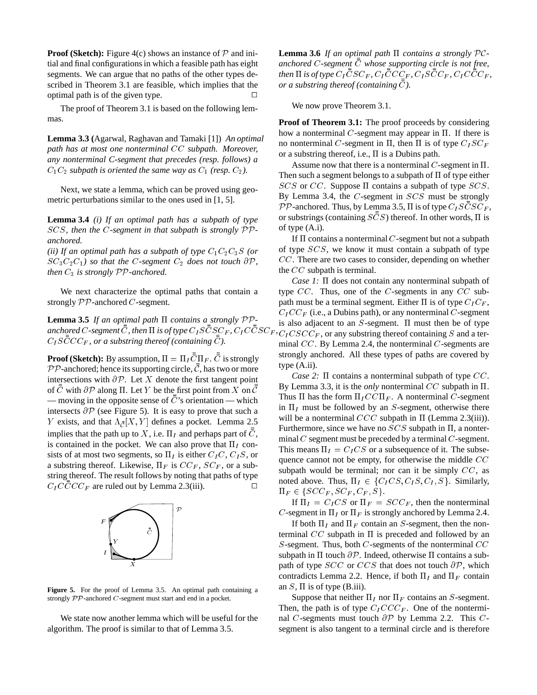**Proof (Sketch):** Figure 4(c) shows an instance of  $P$  and initial and final configurations in which a feasible path has eight segments. We can argue that no paths of the other types described in Theorem 3.1 are feasible, which implies that the optimal path is of the given type.  $\Box$ 

The proof of Theorem 3.1 is based on the following lemmas.

**Lemma 3.3 (**Agarwal, Raghavan and Tamaki [1]) *An optimal path has at most one nonterminal* CC *subpath. Moreover, any nonterminal C-segment that precedes (resp. follows) a*  $C_1C_2$  *subpath is oriented the same way as*  $C_1$  *(resp.*  $C_2$ *).* 

Next, we state a lemma, which can be proved using geometric perturbations similar to the ones used in [1, 5].

**Lemma 3.4** *(i) If an optimal path has a subpath of type* SCS*, then the* <sup>C</sup>*-segment in that subpath is strongly* PP*anchored.*

*(ii) If an optimal path has a subpath of type*  $C_1C_2C_3S$  *(or*  $SC_3C_2C_1$ *) so that the C-segment*  $C_2$  *does not touch*  $\partial P$ *, then*  $C_3$  *is strongly*  $PP$ *-anchored.* 

We next characterize the optimal paths that contain a strongly  $PP$ -anchored  $C$ -segment.

**Lemma 3.5** *If an optimal path*  $\Pi$  *contains a strongly*  $PP$ anchored C-segment C , then  $\Pi$  is of type  $C_I SCSC_F$  ,  $C_I CCSC_F$  ,  $C_I SCC_{F}$ , or a substring thereof (containing C).

**Proof (Sketch):** By assumption,  $\Pi = \Pi_I C \Pi_F$ . *C* is strongly  $PP$ -anchored; hence its supporting circle,  $C$ , has two or more intersections with  $\partial P$ . Let X denote the first tangent point of  $\overline{C}$  with  $\partial \mathcal{P}$  along  $\Pi$ . Let Y be the first point from X on  $\overline{C}$ — moving in the opposite sense of  $C$ 's orientation — which intersects  $\partial P$  (see Figure 5). It is easy to prove that such a Y exists, and that  $\Lambda_{\bar{c}}[X, Y]$  defines a pocket. Lemma 2.5 implies that the path up to X, i.e.  $\Pi_I$  and perhaps part of  $\bar{\bar{C}}$ , is contained in the pocket. We can also prove that  $\Pi_I$  consists of at most two segments, so  $\Pi_I$  is either  $C_I C$ ,  $C_I S$ , or a substring thereof. Likewise,  $\Pi_F$  is  $CC_F$ ,  $SC_F$ , or a substring thereof. The result follows by noting that paths of type  $C_{I}CCCC_{F}$  are ruled out by Lemma 2.3(iii).



**Figure 5.** For the proof of Lemma 3.5. An optimal path containing a strongly PP-anchored <sup>C</sup>-segment must start and end in a pocket.

We state now another lemma which will be useful for the algorithm. The proof is similar to that of Lemma 3.5.

**Lemma 3.6** *If an optimal path*  $\Pi$  *contains a strongly*  $PC$ anchored C-segment  $\bar{\bar{C}}$  whose supporting circle is not free, then  $\Pi$  is of type  $C_I CSC_F$ ,  $C_I CCC_F$ ,  $C_I SCC_F$ ,  $C_I CCC_F$ , *or a substring thereof (containing* C *).*

We now prove Theorem 3.1.

**Proof of Theorem 3.1:** The proof proceeds by considering how a nonterminal C-segment may appear in  $\Pi$ . If there is no nonterminal C-segment in  $\Pi$ , then  $\Pi$  is of type  $C_I S C_F$ or a substring thereof, i.e.,  $\Pi$  is a Dubins path.

Assume now that there is a nonterminal  $C$ -segment in  $\Pi$ . Then such a segment belongs to a subpath of  $\Pi$  of type either  $SCS$  or  $CC$ . Suppose  $\Pi$  contains a subpath of type  $SCS$ . By Lemma 3.4, the <sup>C</sup>-segment in SCS must be strongly  $\mathcal{PP}$ -anchored. Thus, by Lemma 3.5,  $\Pi$  is of type  $C_I SCSC_F$ , or substrings (containing  $SCS$ ) thereof. In other words,  $\Pi$  is of type (A.i).

If  $\Pi$  contains a nonterminal C-segment but not a subpath of type SCS, we know it must contain a subpath of type CC. There are two cases to consider, depending on whether the CC subpath is terminal.

*Case 1:*  $\Pi$  does not contain any nonterminal subpath of type  $CC$ . Thus, one of the C-segments in any  $CC$  subpath must be a terminal segment. Either  $\Pi$  is of type  $C_I C_F$ ,  $C_{I}CC_{F}$  (i.e., a Dubins path), or any nonterminal C-segment is also adjacent to an  $S$ -segment.  $\Pi$  must then be of type  $C_I CSCC_F$ , or any substring thereof containing S and a terminal CC. By Lemma 2.4, the nonterminal <sup>C</sup>-segments are strongly anchored. All these types of paths are covered by type (A.ii).

*Case 2:*  $\Pi$  contains a nonterminal subpath of type  $CC$ . By Lemma 3.3, it is the *only* nonterminal  $CC$  subpath in  $\Pi$ . Thus  $\Pi$  has the form  $\Pi_I C C \Pi_F$ . A nonterminal C-segment in  $\Pi_I$  must be followed by an S-segment, otherwise there will be a nonterminal  $CCC$  subpath in  $\Pi$  (Lemma 2.3(iii)). Furthermore, since we have no  $SCS$  subpath in  $\Pi$ , a nonterminal  $C$  segment must be preceded by a terminal  $C$ -segment. This means  $\Pi_I = C_I C S$  or a subsequence of it. The subsequence cannot not be empty, for otherwise the middle  $CC$ subpath would be terminal; nor can it be simply  $CC$ , as noted above. Thus,  $\Pi_I \in \{C_I CS, C_I S, C_I, S\}$ . Similarly,  $\Pi_F \in \{SCC_F, SC_F, C_F, S\}.$ 

If  $\Pi_I = C_I C S$  or  $\Pi_F = S C C_F$ , then the nonterminal C-segment in  $\Pi_I$  or  $\Pi_F$  is strongly anchored by Lemma 2.4.

If both  $\Pi_I$  and  $\Pi_F$  contain an S-segment, then the nonterminal  $CC$  subpath in  $\Pi$  is preceded and followed by an S-segment. Thus, both  $C$ -segments of the nonterminal  $CC$ subpath in  $\Pi$  touch  $\partial \mathcal{P}$ . Indeed, otherwise  $\Pi$  contains a subpath of type  $SCC$  or  $CCS$  that does not touch  $\partial P$ , which contradicts Lemma 2.2. Hence, if both  $\Pi_I$  and  $\Pi_F$  contain an  $S$ ,  $\Pi$  is of type (B.iii).

Suppose that neither  $\Pi_I$  nor  $\Pi_F$  contains an S-segment. Then, the path is of type  $C_I CC_{F}$ . One of the nonterminal C-segments must touch  $\partial P$  by Lemma 2.2. This Csegment is also tangent to a terminal circle and is therefore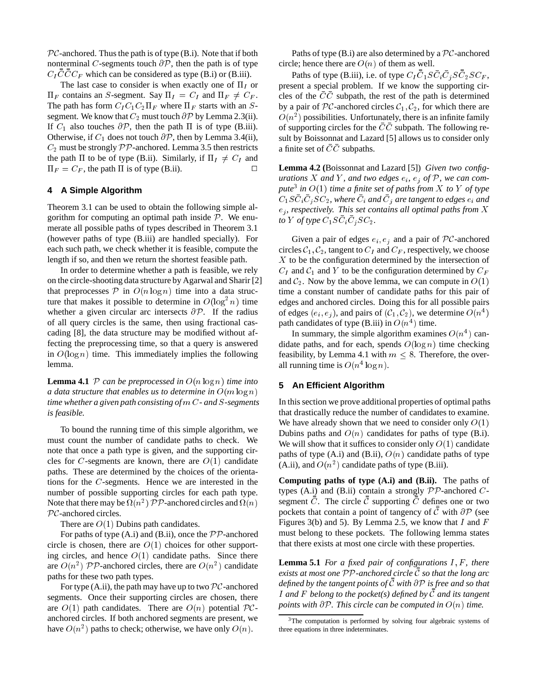$\mathcal{PC}$ -anchored. Thus the path is of type (B.i). Note that if both nonterminal C-segments touch  $\partial P$ , then the path is of type  $C_{I}CCC_{F}$  which can be considered as type (B.i) or (B.iii).

The last case to consider is when exactly one of  $\Pi_I$  or  $\Pi_F$  contains an S-segment. Say  $\Pi_I = C_I$  and  $\Pi_F \neq C_F$ . The path has form  $C_I C_1 C_2 \Pi_F$  where  $\Pi_F$  starts with an Ssegment. We know that  $C_2$  must touch  $\partial \mathcal{P}$  by Lemma 2.3(ii). If  $C_1$  also touches  $\partial \mathcal{P}$ , then the path  $\Pi$  is of type (B.iii). Otherwise, if  $C_1$  does not touch  $\partial \mathcal{P}$ , then by Lemma 3.4(ii),  $C_2$  must be strongly  $PP$ -anchored. Lemma 3.5 then restricts the path  $\Pi$  to be of type (B.ii). Similarly, if  $\Pi_I \neq C_I$  and  $\Pi_F = C_F$ , the path  $\Pi$  is of type (B.ii).

# **4 A Simple Algorithm**

Theorem 3.1 can be used to obtain the following simple algorithm for computing an optimal path inside  $P$ . We enumerate all possible paths of types described in Theorem 3.1 (however paths of type (B.iii) are handled specially). For each such path, we check whether it is feasible, compute the length if so, and then we return the shortest feasible path.

In order to determine whether a path is feasible, we rely on the circle-shooting data structure by Agarwal and Sharir [2] that preprocesses  $P$  in  $O(n \log n)$  time into a data structure that makes it possible to determine in  $O(\log^2 n)$  time whether a given circular arc intersects  $\partial P$ . If the radius of all query circles is the same, then using fractional cascading [8], the data structure may be modified without affecting the preprocessing time, so that a query is answered in  $O(\log n)$  time. This immediately implies the following lemma.

**Lemma 4.1** P can be preprocessed in  $O(n \log n)$  time into *a data structure that enables us to determine in*  $O(m \log n)$ *time whether a given path consisting of* m C*- and* <sup>S</sup>*-segments is feasible.*

To bound the running time of this simple algorithm, we must count the number of candidate paths to check. We note that once a path type is given, and the supporting circles for C-segments are known, there are  $O(1)$  candidate paths. These are determined by the choices of the orientations for the <sup>C</sup>-segments. Hence we are interested in the number of possible supporting circles for each path type. Note that there may be  $\Omega(n^2)$   $\mathcal{PP}$ -anchored circles and  $\Omega(n)$  $\mathcal{PC}$ -anchored circles.

There are  $O(1)$  Dubins path candidates.

For paths of type  $(A,i)$  and  $(B.ii)$ , once the  $\mathcal{PP}$ -anchored circle is chosen, there are  $O(1)$  choices for other supporting circles, and hence  $O(1)$  candidate paths. Since there are  $O(n^2)$  PP-anchored circles, there are  $O(n^2)$  candidate paths for these two path types.

For type (A.ii), the path may have up to two  $\mathcal{PC}$ -anchored segments. Once their supporting circles are chosen, there are  $O(1)$  path candidates. There are  $O(n)$  potential  $PC$ anchored circles. If both anchored segments are present, we have  $O(n^2)$  paths to check; otherwise, we have only  $O(n)$ .

Paths of type (B.i) are also determined by a  $\mathcal{PC}$ -anchored circle; hence there are  $O(n)$  of them as well.

Paths of type (B.iii), i.e. of type  $C_I C_1 S C_i C_j S C_2 S C_F$ , present a special problem. If we know the supporting circles of the  $CC$  subpath, the rest of the path is determined by a pair of PC-anchored circles  $C_1, C_2$ , for which there are  $O(n^2)$  possibilities. Unfortunately, there is an infinite family of supporting circles for the  $\overline{C}\overline{C}$  subpath. The following result by Boissonnat and Lazard [5] allows us to consider only a finite set of  $\overline{C}\overline{C}$  subpaths.

**Lemma 4.2 (**Boissonnat and Lazard [5]) *Given two configurations* X and Y, and two edges  $e_i$ ,  $e_j$  of P, we can com*pute*<sup>3</sup> *in* O(1) *time a finite set of paths from* <sup>X</sup> *to* <sup>Y</sup> *of type*  $C_1SC_iC_jSC_2$ , where  $C_i$  and  $C_j$  are tangent to edges  $e_i$  and  $e_i$ , respectively. This set contains all optimal paths from X *to Y* of type  $C_1SC_iC_iSC_2$ .

Given a pair of edges  $e_i, e_j$  and a pair of PC-anchored circles  $C_1$ ,  $C_2$ , tangent to  $C_I$  and  $C_F$ , respectively, we choose  $X$  to be the configuration determined by the intersection of  $C_I$  and  $C_1$  and Y to be the configuration determined by  $C_F$ and  $C_2$ . Now by the above lemma, we can compute in  $O(1)$ time a constant number of candidate paths for this pair of edges and anchored circles. Doing this for all possible pairs of edges  $(e_i, e_j)$ , and pairs of  $(\mathcal{C}_1, \mathcal{C}_2)$ , we determine  $O(n^4)$ path candidates of type (B.iii) in  $O(n^4)$  time.

In summary, the simple algorithm examines  $O(n^4)$  candidate paths, and for each, spends  $O(\log n)$  time checking feasibility, by Lemma 4.1 with  $m \leq 8$ . Therefore, the overall running time is  $O(n^4 \log n)$ .

## **5 An Efficient Algorithm**

In this section we prove additional properties of optimal paths that drastically reduce the number of candidates to examine. We have already shown that we need to consider only  $O(1)$ Dubins paths and  $O(n)$  candidates for paths of type (B.i). We will show that it suffices to consider only  $O(1)$  candidate paths of type (A.i) and (B.ii),  $O(n)$  candidate paths of type (A.ii), and  $O(n^2)$  candidate paths of type (B.iii).

**Computing paths of type (A.i) and (B.ii).** The paths of types (A.i) and (B.ii) contain a strongly  $PP$ -anchored  $C$ segment  $\overline{C}$ . The circle  $\overline{C}$  supporting  $\overline{C}$  defines one or two pockets that contain a point of tangency of  $\mathcal C$  with  $\partial \mathcal P$  (see Figures 3(b) and 5). By Lemma 2.5, we know that I and F must belong to these pockets. The following lemma states that there exists at most one circle with these properties.

**Lemma 5.1** *For a fixed pair of configurations I, F, there exists at most one* PP*-anchored circle* <sup>C</sup> *so that the long arc defined by the tangent points of* C *with* @P *is free and so that* <sup>I</sup> *and* <sup>F</sup> *belong to the pocket(s) defined by* C *and its tangent points with*  $\partial P$ *. This circle can be computed in*  $O(n)$  *time.* 

<sup>&</sup>lt;sup>3</sup>The computation is performed by solving four algebraic systems of three equations in three indeterminates.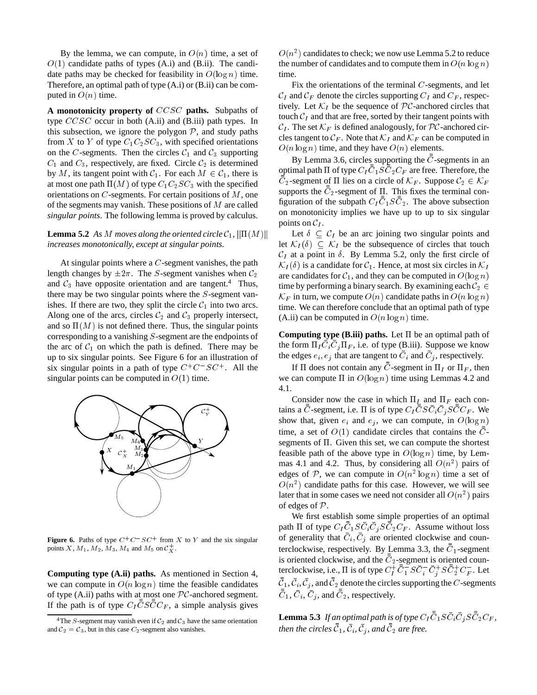By the lemma, we can compute, in  $O(n)$  time, a set of  $O(1)$  candidate paths of types (A.i) and (B.ii). The candidate paths may be checked for feasibility in  $O(\log n)$  time. Therefore, an optimal path of type (A.i) or (B.ii) can be computed in  $O(n)$  time.

**A monotonicity property of** CCSC **paths.** Subpaths of type CCSC occur in both (A.ii) and (B.iii) path types. In this subsection, we ignore the polygon  $P$ , and study paths from X to Y of type  $C_1C_2SC_3$ , with specified orientations on the C-segments. Then the circles  $C_1$  and  $C_3$  supporting  $C_1$  and  $C_3$ , respectively, are fixed. Circle  $C_2$  is determined by M, its tangent point with  $C_1$ . For each  $M \in C_1$ , there is at most one path  $\Pi(M)$  of type  $C_1C_2SC_3$  with the specified orientations on  $C$ -segments. For certain positions of  $M$ , one of the segments may vanish. These positions of <sup>M</sup> are called *singular points*. The following lemma is proved by calculus.

# **Lemma 5.2** As M moves along the oriented circle  $C_1$ ,  $\|\Pi(M)\|$ *increases monotonically, except at singular points.*

At singular points where a  $C$ -segment vanishes, the path length changes by  $\pm 2\pi$ . The S-segment vanishes when  $\mathcal{C}_2$ and  $C_3$  have opposite orientation and are tangent.<sup>4</sup> Thus, there may be two singular points where the <sup>S</sup>-segment vanishes. If there are two, they split the circle  $C_1$  into two arcs. Along one of the arcs, circles  $\mathcal{C}_2$  and  $\mathcal{C}_3$  properly intersect, and so  $\Pi(M)$  is not defined there. Thus, the singular points corresponding to a vanishing <sup>S</sup>-segment are the endpoints of the arc of  $C_1$  on which the path is defined. There may be up to six singular points. See Figure 6 for an illustration of six singular points in a path of type  $C^+C^-SC^+$ . All the singular points can be computed in  $O(1)$  time.



**Figure 6.** Paths of type  $C^+C^-SC^+$  from X to Y and the six singular points X,  $M_1$ ,  $M_2$ ,  $M_3$ ,  $M_4$  and  $M_5$  on  $C_X^+$ .

**Computing type (A.ii) paths.** As mentioned in Section 4, we can compute in  $O(n \log n)$  time the feasible candidates of type (A.ii) paths with at most one  $\mathcal{PC}$ -anchored segment. If the path is of type  $C_I CSCC_F$ , a simple analysis gives

 $O(n^2)$  candidates to check; we now use Lemma 5.2 to reduce the number of candidates and to compute them in  $O(n \log n)$ time.

Fix the orientations of the terminal  $C$ -segments, and let  $C_I$  and  $C_F$  denote the circles supporting  $C_I$  and  $C_F$ , respectively. Let  $\mathcal{K}_I$  be the sequence of  $\mathcal{PC}$ -anchored circles that touch  $C_I$  and that are free, sorted by their tangent points with  $\mathcal{C}_I$ . The set  $\mathcal{K}_F$  is defined analogously, for PC-anchored circles tangent to  $\mathcal{C}_F$ . Note that  $\mathcal{K}_I$  and  $\mathcal{K}_F$  can be computed in  $O(n \log n)$  time, and they have  $O(n)$  elements.

By Lemma 3.6, circles supporting the  $C$ -segments in an optimal path  $\Pi$  of type  $C_I C_1 S C_2 C_F$  are free. Therefore, the  $C_2$ -segment of  $\Pi$  lies on a circle of  $\mathcal{K}_F$ . Suppose  $\mathcal{C}_2 \in \mathcal{K}_F$ supports the  $C_2$ -segment of  $\Pi$ . This fixes the terminal configuration of the subpath  $C_I C_1 S C_2$ . The above subsection on monotonicity implies we have up to up to six singular points on  $C_I$ .

Let  $\delta \subset C_I$  be an arc joining two singular points and let  $\mathcal{K}_I(\delta) \subseteq \mathcal{K}_I$  be the subsequence of circles that touch  $C_I$  at a point in  $\delta$ . By Lemma 5.2, only the first circle of  $\mathcal{K}_I(\delta)$  is a candidate for  $\mathcal{C}_1$ . Hence, at most six circles in  $\mathcal{K}_I$ are candidates for  $C_1$ , and they can be computed in  $O(\log n)$ time by performing a binary search. By examining each  $C_2 \in$  $\mathcal{K}_F$  in turn, we compute  $O(n)$  candidate paths in  $O(n \log n)$ time. We can therefore conclude that an optimal path of type (A.ii) can be computed in  $O(n \log n)$  time.

**Computing type (B.iii) paths.** Let  $\Pi$  be an optimal path of the form  $\Pi_I C_i C_j \Pi_F$ , i.e. of type (B.iii). Suppose we know the edges  $e_i, e_j$  that are tangent to  $C_i$  and  $C_j$ , respectively.

If  $\Pi$  does not contain any C-segment in  $\Pi_I$  or  $\Pi_F$ , then we can compute  $\Pi$  in  $O(\log n)$  time using Lemmas 4.2 and 4.1.

Consider now the case in which  $\Pi_I$  and  $\Pi_F$  each contains a C-segment, i.e.  $\Pi$  is of type  $C_I C S C_i C_j S C C_F$ . We show that, given  $e_i$  and  $e_j$ , we can compute, in  $O(\log n)$ time, a set of  $O(1)$  candidate circles that contains the  $C$ segments of  $\Pi$ . Given this set, we can compute the shortest feasible path of the above type in  $O(\log n)$  time, by Lemmas 4.1 and 4.2. Thus, by considering all  $O(n^2)$  pairs of edges of P, we can compute in  $O(n^2 \log n)$  time a set of  $O(n^2)$  candidate paths for this case. However, we will see later that in some cases we need not consider all  $O(n^2)$  pairs of edges of <sup>P</sup>.

We first establish some simple properties of an optimal path  $\Pi$  of type  $C_I C_1 S C_i C_j S C_2 C_F$ . Assume without loss of generality that  $C_i, C_j$  are oriented clockwise and counterclockwise, respectively. By Lemma 3.3, the  $C_1$ -segment is oriented clockwise, and the  $C_2$ -segment is oriented counterclockwise, i.e.,  $\Pi$  is of type  $C_I^+ C_1^- S C_i^- C_j^+ S C_2^+ C_F^-$ . Let  $\mathcal{C}_1, \mathcal{C}_i, \mathcal{C}_j$ , and  $\mathcal{C}_2$  denote the circles supporting the C-segments  $C_1, C_i, C_j$ , and  $C_2$ , respectively.

**Lemma 5.3** If an optimal path is of type  $C_I C_1 S C_i C_j S C_2 C_F$ , *then the circles*  $C_1$ ,  $C_i$ ,  $C_j$ , and  $C_2$  are free.

<sup>&</sup>lt;sup>4</sup>The S-segment may vanish even if  $C_2$  and  $C_3$  have the same orientation and  $C_2 = C_3$ , but in this case  $C_2$ -segment also vanishes.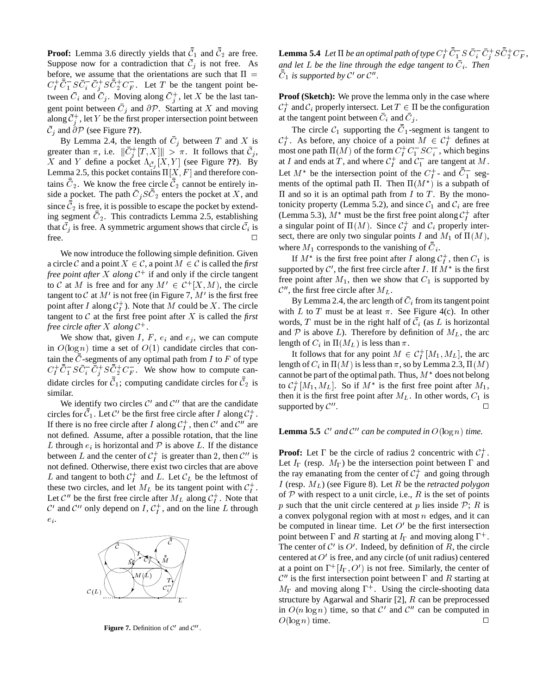**Proof:** Lemma 3.6 directly yields that  $C_1$  and  $C_2$  are free. Suppose now for a contradiction that  $\mathcal{C}_j$  is not free. As before, we assume that the orientations are such that  $\Pi =$  $C_I^+ C_1^- S C_1^- C_2^+ S C_2^+ C_F^-$ . Let T be the tangent point between  $C_i$  and  $C_j$ . Moving along  $C_j^+$ , let X be the last tangent point between  $C_i$  and  $\partial \mathcal{P}$ . Starting at X and moving along  $\mathcal{C}_i^+$ , let Y be the first proper intersection point between  $\mathcal{C}_i$  and  $\partial \mathcal{P}$  (see Figure ??).

By Lemma 2.4, the length of  $C_i$  between T and X is greater than  $\pi$ , i.e.  $||C_i^+[T, X]|| > \pi$ . It follows that  $\mathcal{C}_i$ , X and Y define a pocket  $\Lambda_{\bar{C}_j}[X, Y]$  (see Figure ??). By Lemma 2.5, this pocket contains  $\Pi[X, F]$  and therefore contains  $C_2$ . We know the free circle  $C_2$  cannot be entirely inside a pocket. The path  $C_iSC_2$  enters the pocket at X, and since  $\mathcal{C}_2$  is free, it is possible to escape the pocket by extending segment  $C_2$ . This contradicts Lemma 2.5, establishing that  $\mathcal{C}_i$  is free. A symmetric argument shows that circle  $\mathcal{C}_i$  is free.  $\Box$ 

We now introduce the following simple definition. Given a circle C and a point  $X \in \mathcal{C}$ , a point  $M \in \mathcal{C}$  is called the *first free point after* X *along*  $C^+$  if and only if the circle tangent to C at M is free and for any  $M' \in C^+[X, M)$ , the circle tangent to  $\mathcal C$  at  $M'$  is not free (in Figure 7,  $M'$  is the first free point after I along  $C_I^+$ ). Note that M could be X. The circle tangent to  $\mathcal C$  at the first free point after  $X$  is called the *first free circle after* <sup>X</sup> *along* <sup>C</sup><sup>+</sup> .

We show that, given I, F,  $e_i$  and  $e_j$ , we can compute in  $O(\log n)$  time a set of  $O(1)$  candidate circles that contain the  $\overline{C}$ -segments of any optimal path from I to F of type  $C_I^+ C_I^- S C_i^- C_i^+ S C_2^+ C_F^-$ . We show how to compute candidate circles for  $C_1$ ; computing candidate circles for  $C_2$  is similar.

We identify two circles  $\mathcal{C}'$  and  $\mathcal{C}''$  that are the candidate circles for  $C_1$ . Let C' be the first free circle after I along  $C_1^+$ . If there is no free circle after I along  $C_I^+$ , then C' and C'' are not defined. Assume, after a possible rotation, that the line L through  $e_i$  is horizontal and  $P$  is above L. If the distance between L and the center of  $C_I^+$  is greater than 2, then  $\mathcal{C}''$  is not defined. Otherwise, there exist two circles that are above L and tangent to both  $C_I^+$  and L. Let  $\mathcal{C}_L$  be the leftmost of these two circles, and let  $M_L$  be its tangent point with  $C_I^+$ . Let C'' be the first free circle after  $M_L$  along  $C_I^+$ . Note that C' and C'' only depend on I,  $C_I^+$ , and on the line L through  $\boldsymbol{e}_i.$ 



**Figure 7.** Definition of  $C'$  and  $C''$ .

**Lemma 5.4** Let  $\Pi$  be an optimal path of type  $C_I^+ C_I^- S C_i^- C_j^+ S C_2^+ C_F^-$ , and let L be the line through the edge tangent to  $C_i$ . Then  $C_1$  *is supported by*  $\mathcal{C}'$  *or*  $\mathcal{C}''$ *.* 

**Proof (Sketch):** We prove the lemma only in the case where  $\mathcal{C}_I^+$  and  $\mathcal{C}_i$  properly intersect. Let  $T \in \Pi$  be the configuration at the tangent point between  $C_i$  and  $C_j$ .

The circle  $C_1$  supporting the  $C_1$ -segment is tangent to  $\mathcal{C}_I^+$ . As before, any choice of a point  $M \in \mathcal{C}_I^+$  defines at most one path  $\Pi(M)$  of the form  $C_I^+ C_1^- S C_i^-$ , which begins at I and ends at T, and where  $C_I^+$  and  $C_I^-$  are tangent at M. Let  $M^*$  be the intersection point of the  $C_I^+$ - and  $C_I^-$  segments of the optimal path  $\Pi$ . Then  $\Pi(M^*)$  is a subpath of  $\Pi$  and so it is an optimal path from  $I$  to  $T$ . By the monotonicity property (Lemma 5.2), and since  $C_1$  and  $C_i$  are free (Lemma 5.3),  $M^*$  must be the first free point along  $C_I^+$  after a singular point of  $\Pi(M)$ . Since  $C_I^+$  and  $C_i$  properly intersect, there are only two singular points I and  $M_1$  of  $\Pi(M)$ , where  $M_1$  corresponds to the vanishing of  $C_i$ .

If  $M^*$  is the first free point after I along  $C_I^+$ , then  $C_1$  is supported by  $\mathcal{C}'$ , the first free circle after I. If  $M^*$  is the first free point after  $M_1$ , then we show that  $C_1$  is supported by  $\mathcal{C}^{\prime\prime}$ , the first free circle after  $M_L$ .

By Lemma 2.4, the arc length of  $C_i$  from its tangent point with L to T must be at least  $\pi$ . See Figure 4(c). In other words, T must be in the right half of  $\mathcal{C}_i$  (as L is horizontal and  $P$  is above L). Therefore by definition of  $M_L$ , the arc length of  $C_i$  in  $\Pi(M_L)$  is less than  $\pi$ .

It follows that for any point  $M \in C_I^+[M_1, M_L]$ , the arc length of  $C_i$  in  $\Pi(M)$  is less than  $\pi$ , so by Lemma 2.3,  $\Pi(M)$ cannot be part of the optimal path. Thus,  $M^*$  does not belong to  $C_I^+[M_1,M_L]$ . So if  $M^*$  is the first free point after  $M_1$ , then it is the first free point after  $M_L$ . In other words,  $C_1$  is supported by  $\mathcal{C}^{\prime\prime}$ . . <sup>2</sup>

#### **Lemma 5.5**  $\mathcal{C}'$  and  $\mathcal{C}''$  can be computed in  $O(\log n)$  time.

**Proof:** Let  $\Gamma$  be the circle of radius 2 concentric with  $C_I^+$ . Let  $I_{\Gamma}$  (resp.  $M_{\Gamma}$ ) be the intersection point between  $\Gamma$  and the ray emanating from the center of  $C_I^+$  and going through <sup>I</sup> (resp. ML) (see Figure 8). Let <sup>R</sup> be the *retracted polygon* of  $P$  with respect to a unit circle, i.e., R is the set of points p such that the unit circle centered at p lies inside  $P$ ; R is a convex polygonal region with at most  $n$  edges, and it can be computed in linear time. Let  $O<sup>t</sup>$  be the first intersection point between  $\Gamma$  and R starting at  $I_{\Gamma}$  and moving along  $\Gamma^{+}$ . The center of C' is O'. Indeed, by definition of R, the circle centered at  $O'$  is free, and any circle (of unit radius) centered at a point on  $\Gamma^{\dagger}[I_{\Gamma}, O')$  is not free. Similarly, the center of  $\mathcal{C}''$  is the first intersection point between  $\Gamma$  and R starting at  $M_{\Gamma}$  and moving along  $\Gamma^{+}$ . Using the circle-shooting data structure by Agarwal and Sharir [2], <sup>R</sup> can be preprocessed in  $O(n \log n)$  time, so that C' and C'' can be computed in  $O(\log n)$  time.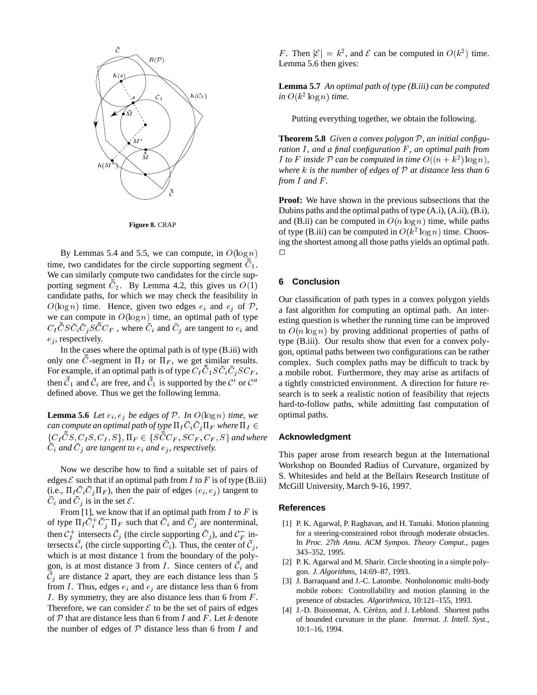



By Lemmas 5.4 and 5.5, we can compute, in  $O(\log n)$ time, two candidates for the circle supporting segment  $C_1$ . We can similarly compute two candidates for the circle supporting segment  $C_2$ . By Lemma 4.2, this gives us  $O(1)$ candidate paths, for which we may check the feasibility in  $O(\log n)$  time. Hence, given two edges  $e_i$  and  $e_j$  of  $P$ , we can compute in  $O(\log n)$  time, an optimal path of type  $C_I C S C_i C_j S C C_F$ , where  $C_i$  and  $C_j$  are tangent to  $e_i$  and  $e_i$ , respectively.

In the cases where the optimal path is of type (B.iii) with only one C-segment in  $\Pi_I$  or  $\Pi_F$ , we get similar results. For example, if an optimal path is of type  $C_I C_1 S C_i C_j S C_F$ , then  $\mathcal{C}_1$  and  $\mathcal{C}_i$  are free, and  $\mathcal{C}_1$  is supported by the  $\mathcal{C}'$  or  $\mathcal{C}''$ defined above. Thus we get the following lemma.

**Lemma 5.6** *Let*  $e_i$ ,  $e_j$  *be edges of*  $P$ *. In*  $O(\log n)$  *time, we* can compute an optimal path of type  $\Pi_I C_i C_j \Pi_F$  where  $\Pi_I \in$  $\{C_I CS, C_I S, C_I, S\}$ ,  $\Pi_F \in \{SCC_F, SC_F, C_F, S\}$  and where  $C_i$  and  $C_j$  are tangent to  $e_i$  and  $e_j$ , respectively.

Now we describe how to find a suitable set of pairs of edges  $\mathcal E$  such that if an optimal path from I to F is of type (B.iii) (i.e.,  $\Pi_{I} C_{i} C_{j} \Pi_{F}$ ), then the pair of edges  $(e_{i}, e_{j})$  tangent to  $C_i$  and  $C_j$  is in the set  $\mathcal{E}$ .

From [1], we know that if an optimal path from  $I$  to  $F$  is of type  $\Pi_I C_i^+ C_i^- \Pi_F$  such that  $C_i$  and  $C_j$  are nonterminal, then  $C_I^+$  intersects  $C_j$  (the circle supporting  $C_j$ ), and  $C_F^-$  intersects  $\bar{\mathcal{C}}_i$  (the circle supporting  $\bar{\mathcal{C}}_i$ ). Thus, the center of  $\bar{\mathcal{C}}_i$ , which is at most distance 1 from the boundary of the polygon, is at most distance 3 from  $I$ . Since centers of  $\mathcal{C}_i$  and  $C_i$  are distance 2 apart, they are each distance less than 5 from I. Thus, edges  $e_i$  and  $e_j$  are distance less than 6 from I. By symmetry, they are also distance less than 6 from  $F$ . Therefore, we can consider  $\mathcal E$  to be the set of pairs of edges of  $P$  that are distance less than 6 from I and F. Let k denote the number of edges of  $P$  distance less than 6 from  $I$  and

F. Then  $|\mathcal{E}| = k^2$ , and  $\mathcal E$  can be computed in  $O(k^2)$  time. Lemma 5.6 then gives:

**Lemma 5.7** *An optimal path of type (B.iii) can be computed in*  $O(k^2 \log n)$  *time.* 

Putting everything together, we obtain the following.

**Theorem 5.8** *Given a convex polygon* <sup>P</sup>*, an initial configuration* I, and a final configuration F, an optimal path from *I* to *F* inside *P* can be computed in time  $O((n + k^2) \log n)$ , *where* <sup>k</sup> *is the number of edges of* <sup>P</sup> *at distance less than 6 from* <sup>I</sup> *and* <sup>F</sup> *.*

**Proof:** We have shown in the previous subsections that the Dubins paths and the optimal paths of type (A.i), (A.ii), (B.i), and (B.ii) can be computed in  $O(n \log n)$  time, while paths of type (B.iii) can be computed in  $O(k^2 \log n)$  time. Choosing the shortest among all those paths yields an optimal path.  $\Box$ 

# **6 Conclusion**

Our classification of path types in a convex polygon yields a fast algorithm for computing an optimal path. An interesting question is whether the running time can be improved to  $O(n \log n)$  by proving additional properties of paths of type (B.iii). Our results show that even for a convex polygon, optimal paths between two configurations can be rather complex. Such complex paths may be difficult to track by a mobile robot. Furthermore, they may arise as artifacts of a tightly constricted environment. A direction for future research is to seek a realistic notion of feasibility that rejects hard-to-follow paths, while admitting fast computation of optimal paths.

## **Acknowledgment**

This paper arose from research begun at the International Workshop on Bounded Radius of Curvature, organized by S. Whitesides and held at the Bellairs Research Institute of McGill University, March 9-16, 1997.

#### **References**

- [1] P. K. Agarwal, P. Raghavan, and H. Tamaki. Motion planning for a steering-constrained robot through moderate obstacles. In *Proc. 27th Annu. ACM Sympos. Theory Comput.*, pages 343–352, 1995.
- [2] P. K. Agarwal and M. Sharir. Circle shooting in a simple polygon. *J. Algorithms*, 14:69–87, 1993.
- [3] J. Barraquand and J.-C. Latombe. Nonholonomic multi-body mobile robots: Controllability and motion planning in the presence of obstacles. *Algorithmica*, 10:121–155, 1993.
- [4] J.-D. Boissonnat, A. Cérézo, and J. Leblond. Shortest paths of bounded curvature in the plane. *Internat. J. Intell. Syst.*, 10:1–16, 1994.